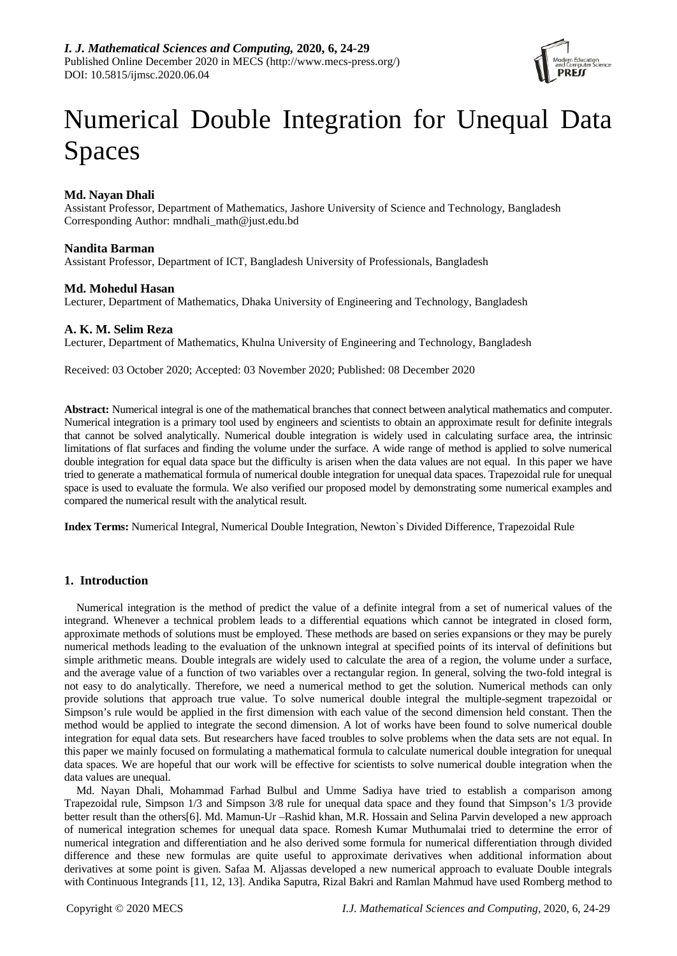

# Numerical Double Integration for Unequal Data Spaces

# **Md. Nayan Dhali**

Assistant Professor, Department of Mathematics, Jashore University of Science and Technology, Bangladesh Corresponding Author: mndhali\_math@just.edu.bd

## **Nandita Barman**

Assistant Professor, Department of ICT, Bangladesh University of Professionals, Bangladesh

## **Md. Mohedul Hasan**

Lecturer, Department of Mathematics, Dhaka University of Engineering and Technology, Bangladesh

## **A. K. M. Selim Reza**

Lecturer, Department of Mathematics, Khulna University of Engineering and Technology, Bangladesh

Received: 03 October 2020; Accepted: 03 November 2020; Published: 08 December 2020

**Abstract:** Numerical integral is one of the mathematical branches that connect between analytical mathematics and computer. Numerical integration is a primary tool used by engineers and scientists to obtain an approximate result for definite integrals that cannot be solved analytically. Numerical double integration is widely used in calculating surface area, the intrinsic limitations of flat surfaces and finding the volume under the surface. A wide range of method is applied to solve numerical double integration for equal data space but the difficulty is arisen when the data values are not equal. In this paper we have tried to generate a mathematical formula of numerical double integration for unequal data spaces. Trapezoidal rule for unequal space is used to evaluate the formula. We also verified our proposed model by demonstrating some numerical examples and compared the numerical result with the analytical result.

**Index Terms:** Numerical Integral, Numerical Double Integration, Newton`s Divided Difference, Trapezoidal Rule

# **1. Introduction**

Numerical integration is the method of predict the value of a definite integral from a set of numerical values of the integrand. Whenever a technical problem leads to a differential equations which cannot be integrated in closed form, approximate methods of solutions must be employed. These methods are based on series expansions or they may be purely numerical methods leading to the evaluation of the unknown integral at specified points of its interval of definitions but simple arithmetic means. Double integrals are widely used to calculate the area of a region, the volume under a surface, and the average value of a function of two variables over a rectangular region. In general, solving the two-fold integral is not easy to do analytically. Therefore, we need a numerical method to get the solution. Numerical methods can only provide solutions that approach true value. To solve numerical double integral the multiple-segment trapezoidal or Simpson's rule would be applied in the first dimension with each value of the second dimension held constant. Then the method would be applied to integrate the second dimension. A lot of works have been found to solve numerical double integration for equal data sets. But researchers have faced troubles to solve problems when the data sets are not equal. In this paper we mainly focused on formulating a mathematical formula to calculate numerical double integration for unequal data spaces. We are hopeful that our work will be effective for scientists to solve numerical double integration when the data values are unequal.

Md. Nayan Dhali, Mohammad Farhad Bulbul and Umme Sadiya have tried to establish a comparison among Trapezoidal rule, Simpson 1/3 and Simpson 3/8 rule for unequal data space and they found that Simpson's 1/3 provide better result than the others[6]. Md. Mamun-Ur –Rashid khan, M.R. Hossain and Selina Parvin developed a new approach of numerical integration schemes for unequal data space. Romesh Kumar Muthumalai tried to determine the error of numerical integration and differentiation and he also derived some formula for numerical differentiation through divided difference and these new formulas are quite useful to approximate derivatives when additional information about derivatives at some point is given. Safaa M. Aljassas developed a new numerical approach to evaluate Double integrals with Continuous Integrands [11, 12, 13]. Andika Saputra, Rizal Bakri and Ramlan Mahmud have used Romberg method to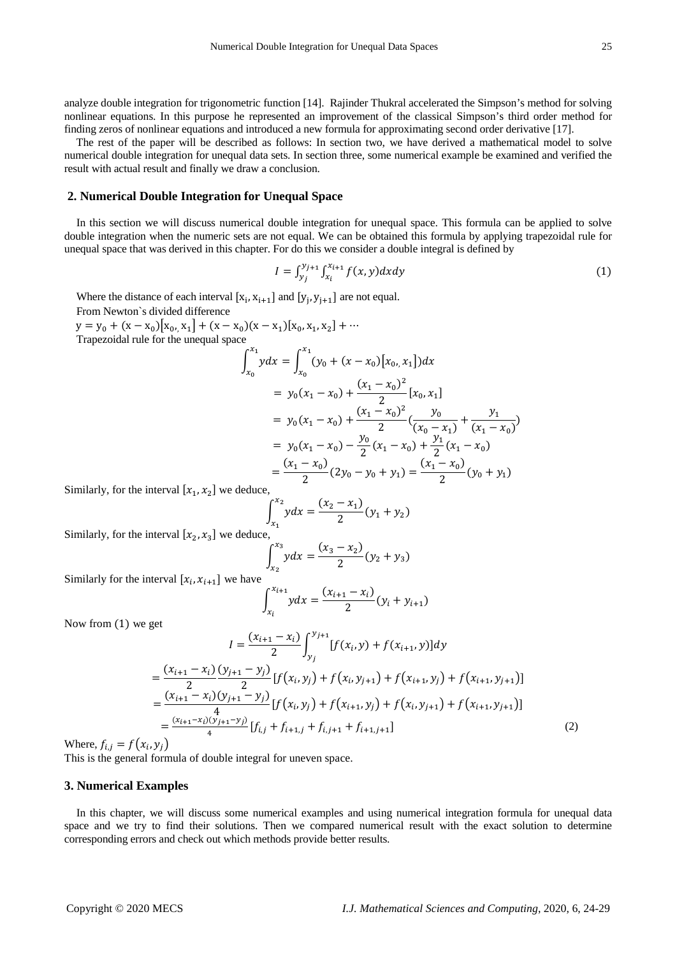analyze double integration for trigonometric function [14]. Rajinder Thukral accelerated the Simpson's method for solving nonlinear equations. In this purpose he represented an improvement of the classical Simpson's third order method for finding zeros of nonlinear equations and introduced a new formula for approximating second order derivative [17].

The rest of the paper will be described as follows: In section two, we have derived a mathematical model to solve numerical double integration for unequal data sets. In section three, some numerical example be examined and verified the result with actual result and finally we draw a conclusion.

#### **2. Numerical Double Integration for Unequal Space**

In this section we will discuss numerical double integration for unequal space. This formula can be applied to solve double integration when the numeric sets are not equal. We can be obtained this formula by applying trapezoidal rule for unequal space that was derived in this chapter. For do this we consider a double integral is defined by

$$
I = \int_{y_j}^{y_{j+1}} \int_{x_i}^{x_{i+1}} f(x, y) dx dy
$$
 (1)

Where the distance of each interval  $[x_i, x_{i+1}]$  and  $[y_j, y_{j+1}]$  are not equal.

From Newton`s divided difference

 $y = y_0 + (x - x_0)[x_0, x_1] + (x - x_0)(x - x_1)[x_0, x_1, x_2] + \cdots$ Trapezoidal rule for the unequal space

$$
\int_{x_0}^{x_1} ydx = \int_{x_0}^{x_1} (y_0 + (x - x_0)[x_0, x_1])dx
$$
  
=  $y_0(x_1 - x_0) + \frac{(x_1 - x_0)^2}{2} [x_0, x_1]$   
=  $y_0(x_1 - x_0) + \frac{(x_1 - x_0)^2}{2} (\frac{y_0}{(x_0 - x_1)} + \frac{y_1}{(x_1 - x_0)})$   
=  $y_0(x_1 - x_0) - \frac{y_0}{2} (x_1 - x_0) + \frac{y_1}{2} (x_1 - x_0)$   
=  $\frac{(x_1 - x_0)}{2} (2y_0 - y_0 + y_1) = \frac{(x_1 - x_0)}{2} (y_0 + y_1)$ 

Similarly, for the interval  $[x_1, x_2]$  we deduce,

$$
\int_{x_1}^{x_2} y dx = \frac{(x_2 - x_1)}{2} (y_1 + y_2)
$$

Similarly, for the interval  $[x_2, x_3]$  we deduce,

$$
\int_{x_2}^{x_3} y dx = \frac{(x_3 - x_2)}{2} (y_2 + y_3)
$$

Similarly for the interval  $[x_i, x_{i+1}]$  we have

$$
\int_{x_i}^{x_{i+1}} y dx = \frac{(x_{i+1} - x_i)}{2} (y_i + y_{i+1})
$$

Now from (1) we get

$$
I = \frac{(x_{i+1} - x_i)}{2} \int_{y_j}^{y_{j+1}} [f(x_i, y) + f(x_{i+1}, y)] dy
$$
  
\n
$$
= \frac{(x_{i+1} - x_i) (y_{j+1} - y_j)}{2} [f(x_i, y_j) + f(x_i, y_{j+1}) + f(x_{i+1}, y_j) + f(x_{i+1}, y_{j+1})]
$$
  
\n
$$
= \frac{(x_{i+1} - x_i) (y_{j+1} - y_j)}{4} [f(x_i, y_j) + f(x_{i+1}, y_j) + f(x_i, y_{j+1}) + f(x_{i+1}, y_{j+1})]
$$
  
\n
$$
= \frac{(x_{i+1} - x_i) (y_{j+1} - y_j)}{4} [f_{i,j} + f_{i+1,j} + f_{i,j+1} + f_{i+1,j+1}]
$$
 (2)

Where,  $f_{i,j} = f(x_i, y_j)$ 

This is the general formula of double integral for uneven space.

#### **3. Numerical Examples**

In this chapter, we will discuss some numerical examples and using numerical integration formula for unequal data space and we try to find their solutions. Then we compared numerical result with the exact solution to determine corresponding errors and check out which methods provide better results.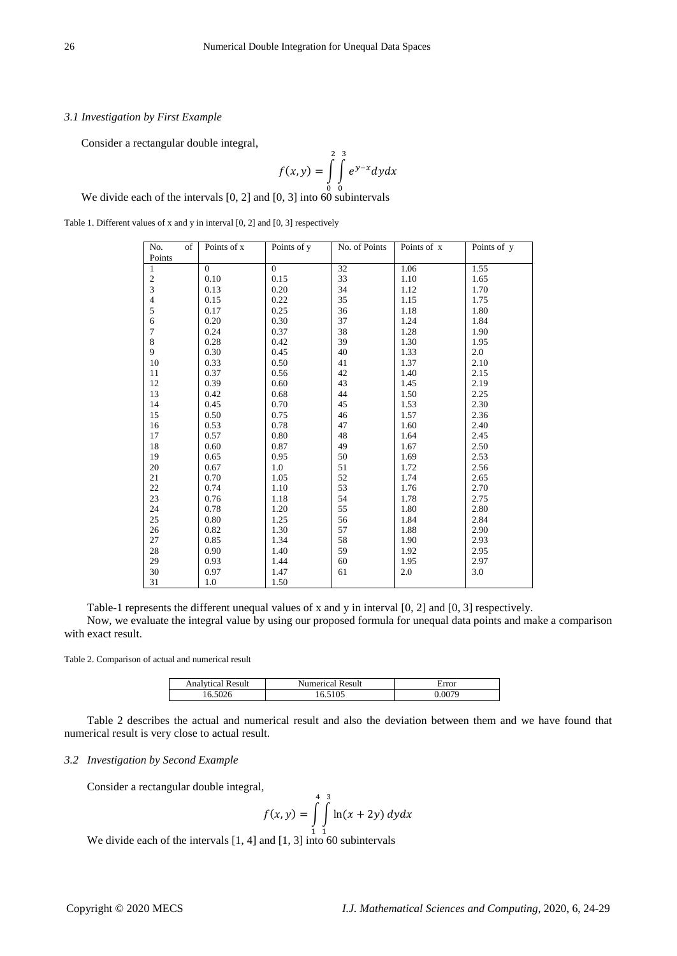## *3.1 Investigation by First Example*

Consider a rectangular double integral,

$$
f(x,y) = \int\limits_{0}^{2} \int\limits_{0}^{3} e^{y-x} dy dx
$$

We divide each of the intervals  $[0, 2]$  and  $[0, 3]$  into 60 subintervals

Table 1. Different values of x and y in interval [0, 2] and [0, 3] respectively

| No.<br>of                | Points of x | Points of y | No. of Points | Points of x | Points of y |
|--------------------------|-------------|-------------|---------------|-------------|-------------|
| Points                   |             |             |               |             |             |
| $\mathbf{1}$             | $\Omega$    | $\Omega$    | 32            | 1.06        | 1.55        |
|                          | 0.10        | 0.15        | 33            | 1.10        | 1.65        |
| $\frac{2}{3}$            | 0.13        | 0.20        | 34            | 1.12        | 1.70        |
| $\overline{\mathcal{L}}$ | 0.15        | 0.22        | 35            | 1.15        | 1.75        |
| 5                        | 0.17        | 0.25        | 36            | 1.18        | 1.80        |
| 6                        | 0.20        | 0.30        | 37            | 1.24        | 1.84        |
| $\tau$                   | 0.24        | 0.37        | 38            | 1.28        | 1.90        |
| $\bf{8}$                 | 0.28        | 0.42        | 39            | 1.30        | 1.95        |
| 9                        | 0.30        | 0.45        | 40            | 1.33        | 2.0         |
| 10                       | 0.33        | 0.50        | 41            | 1.37        | 2.10        |
| 11                       | 0.37        | 0.56        | 42            | 1.40        | 2.15        |
| 12                       | 0.39        | 0.60        | 43            | 1.45        | 2.19        |
| 13                       | 0.42        | 0.68        | 44            | 1.50        | 2.25        |
| 14                       | 0.45        | 0.70        | 45            | 1.53        | 2.30        |
| 15                       | 0.50        | 0.75        | 46            | 1.57        | 2.36        |
| 16                       | 0.53        | 0.78        | 47            | 1.60        | 2.40        |
| 17                       | 0.57        | 0.80        | 48            | 1.64        | 2.45        |
| 18                       | 0.60        | 0.87        | 49            | 1.67        | 2.50        |
| 19                       | 0.65        | 0.95        | 50            | 1.69        | 2.53        |
| 20                       | 0.67        | 1.0         | 51            | 1.72        | 2.56        |
| 21                       | $0.70\,$    | 1.05        | 52            | 1.74        | 2.65        |
| 22                       | 0.74        | 1.10        | 53            | 1.76        | 2.70        |
| 23                       | 0.76        | 1.18        | 54            | 1.78        | 2.75        |
| 24                       | 0.78        | 1.20        | 55            | 1.80        | 2.80        |
| 25                       | 0.80        | 1.25        | 56            | 1.84        | 2.84        |
| 26                       | 0.82        | 1.30        | 57            | 1.88        | 2.90        |
| 27                       | 0.85        | 1.34        | 58            | 1.90        | 2.93        |
| 28                       | 0.90        | 1.40        | 59            | 1.92        | 2.95        |
| 29                       | 0.93        | 1.44        | 60            | 1.95        | 2.97        |
| 30                       | 0.97        | 1.47        | 61            | 2.0         | 3.0         |
| 31                       | 1.0         | 1.50        |               |             |             |

Table-1 represents the different unequal values of x and y in interval [0, 2] and [0, 3] respectively.

Now, we evaluate the integral value by using our proposed formula for unequal data points and make a comparison with exact result.

Table 2. Comparison of actual and numerical result

| Result<br>Analytica H | Result<br>Numerical | Error |
|-----------------------|---------------------|-------|
| 5026                  | 16.5105             | 9079  |

Table 2 describes the actual and numerical result and also the deviation between them and we have found that numerical result is very close to actual result.

#### *3.2 Investigation by Second Example*

Consider a rectangular double integral,

$$
f(x, y) = \int_{1}^{4} \int_{1}^{3} \ln(x + 2y) \, dy dx
$$

We divide each of the intervals  $[1, 4]$  and  $[1, 3]$  into 60 subintervals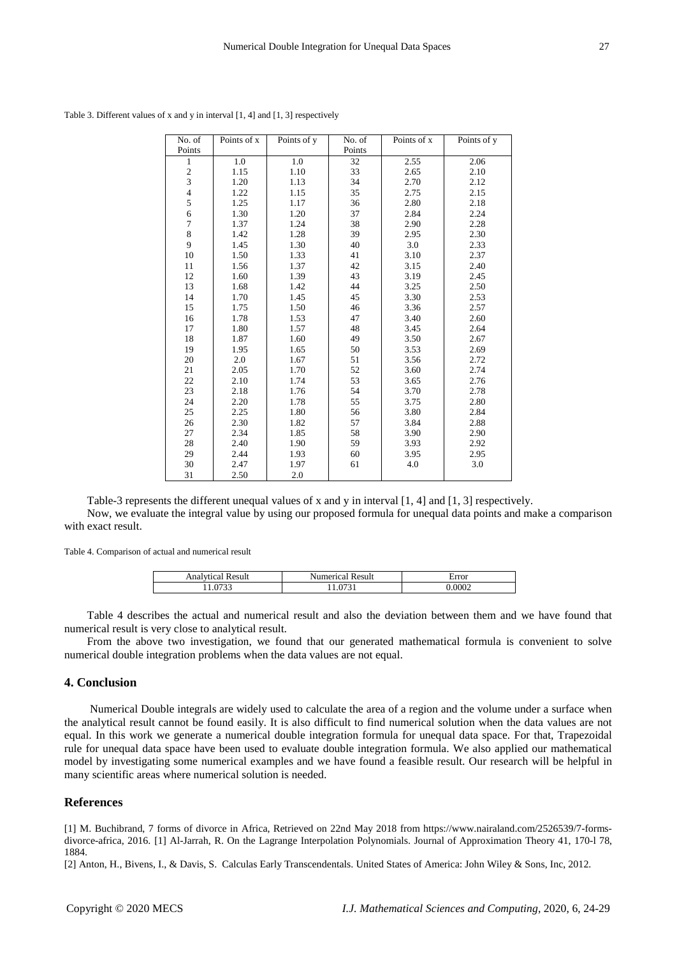| No. of         | Points of x | Points of y | No. of | Points of x | Points of y |
|----------------|-------------|-------------|--------|-------------|-------------|
| Points         |             |             | Points |             |             |
| $\mathbf{1}$   | 1.0         | 1.0         | 32     | 2.55        | 2.06        |
|                | 1.15        | 1.10        | 33     | 2.65        | 2.10        |
| $\frac{2}{3}$  | 1.20        | 1.13        | 34     | 2.70        | 2.12        |
| $\overline{4}$ | 1.22        | 1.15        | 35     | 2.75        | 2.15        |
| 5              | 1.25        | 1.17        | 36     | 2.80        | 2.18        |
| 6              | 1.30        | 1.20        | 37     | 2.84        | 2.24        |
| $\tau$         | 1.37        | 1.24        | 38     | 2.90        | 2.28        |
| 8              | 1.42        | 1.28        | 39     | 2.95        | 2.30        |
| 9              | 1.45        | 1.30        | 40     | 3.0         | 2.33        |
| 10             | 1.50        | 1.33        | 41     | 3.10        | 2.37        |
| 11             | 1.56        | 1.37        | 42     | 3.15        | 2.40        |
| 12             | 1.60        | 1.39        | 43     | 3.19        | 2.45        |
| 13             | 1.68        | 1.42        | 44     | 3.25        | 2.50        |
| 14             | 1.70        | 1.45        | 45     | 3.30        | 2.53        |
| 15             | 1.75        | 1.50        | 46     | 3.36        | 2.57        |
| 16             | 1.78        | 1.53        | 47     | 3.40        | 2.60        |
| 17             | 1.80        | 1.57        | 48     | 3.45        | 2.64        |
| 18             | 1.87        | 1.60        | 49     | 3.50        | 2.67        |
| 19             | 1.95        | 1.65        | 50     | 3.53        | 2.69        |
| 20             | 2.0         | 1.67        | 51     | 3.56        | 2.72        |
| 21             | 2.05        | 1.70        | 52     | 3.60        | 2.74        |
| 22             | 2.10        | 1.74        | 53     | 3.65        | 2.76        |
| 23             | 2.18        | 1.76        | 54     | 3.70        | 2.78        |
| 24             | 2.20        | 1.78        | 55     | 3.75        | 2.80        |
| 25             | 2.25        | 1.80        | 56     | 3.80        | 2.84        |
| 26             | 2.30        | 1.82        | 57     | 3.84        | 2.88        |
| 27             | 2.34        | 1.85        | 58     | 3.90        | 2.90        |
| 28             | 2.40        | 1.90        | 59     | 3.93        | 2.92        |
| 29             | 2.44        | 1.93        | 60     | 3.95        | 2.95        |
| 30             | 2.47        | 1.97        | 61     | 4.0         | 3.0         |
| 31             | 2.50        | 2.0         |        |             |             |

Table 3. Different values of x and y in interval [1, 4] and [1, 3] respectively

Table-3 represents the different unequal values of x and y in interval [1, 4] and [1, 3] respectively. Now, we evaluate the integral value by using our proposed formula for unequal data points and make a comparison with exact result.

Table 4. Comparison of actual and numerical result

| - Analytica | Result       | error |
|-------------|--------------|-------|
| Result      | $\alpha$ mal |       |
|             |              | .0002 |

Table 4 describes the actual and numerical result and also the deviation between them and we have found that numerical result is very close to analytical result.

From the above two investigation, we found that our generated mathematical formula is convenient to solve numerical double integration problems when the data values are not equal.

### **4. Conclusion**

Numerical Double integrals are widely used to calculate the area of a region and the volume under a surface when the analytical result cannot be found easily. It is also difficult to find numerical solution when the data values are not equal. In this work we generate a numerical double integration formula for unequal data space. For that, Trapezoidal rule for unequal data space have been used to evaluate double integration formula. We also applied our mathematical model by investigating some numerical examples and we have found a feasible result. Our research will be helpful in many scientific areas where numerical solution is needed.

#### **References**

[1] M. Buchibrand, 7 forms of divorce in Africa, Retrieved on 22nd May 2018 from https://www.nairaland.com/2526539/7-formsdivorce-africa, 2016. [1] Al-Jarrah, R. On the Lagrange Interpolation Polynomials. Journal of Approximation Theory 41, 170-l 78, 1884.

[2] Anton, H., Bivens, I., & Davis, S. Calculas Early Transcendentals. United States of America: John Wiley & Sons, Inc, 2012.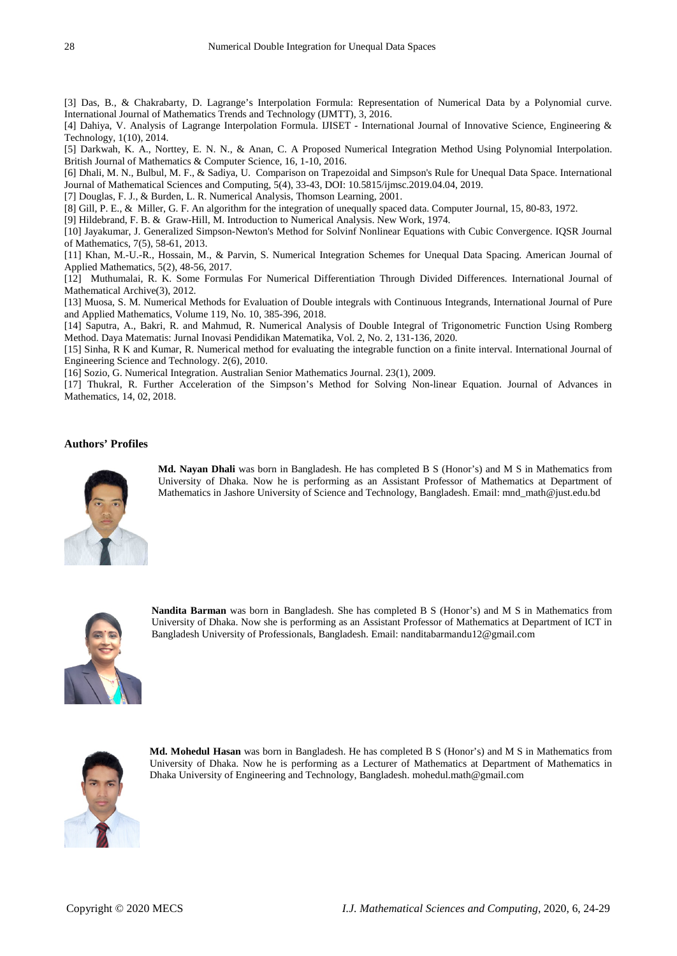[3] Das, B., & Chakrabarty, D. Lagrange's Interpolation Formula: Representation of Numerical Data by a Polynomial curve. International Journal of Mathematics Trends and Technology (IJMTT), 3, 2016.

[4] Dahiya, V. Analysis of Lagrange Interpolation Formula. IJISET - International Journal of Innovative Science, Engineering & Technology, 1(10), 2014.

[5] Darkwah, K. A., Norttey, E. N. N., & Anan, C. A Proposed Numerical Integration Method Using Polynomial Interpolation. British Journal of Mathematics & Computer Science, 16, 1-10, 2016.

[6] Dhali, M. N., Bulbul, M. F., & Sadiya, U. Comparison on Trapezoidal and Simpson's Rule for Unequal Data Space. International Journal of Mathematical Sciences and Computing, 5(4), 33-43, DOI: 10.5815/ijmsc.2019.04.04, 2019.

[7] Douglas, F. J., & Burden, L. R. Numerical Analysis, Thomson Learning, 2001.

[8] Gill, P. E., & Miller, G. F. An algorithm for the integration of unequally spaced data. Computer Journal, 15, 80-83, 1972.

[9] Hildebrand, F. B. & Graw-Hill, M. Introduction to Numerical Analysis. New Work, 1974.

[10] Jayakumar, J. Generalized Simpson-Newton's Method for Solvinf Nonlinear Equations with Cubic Convergence. IQSR Journal of Mathematics, 7(5), 58-61, 2013.

[11] Khan, M.-U.-R., Hossain, M., & Parvin, S. Numerical Integration Schemes for Unequal Data Spacing. American Journal of Applied Mathematics, 5(2), 48-56, 2017.

[12] Muthumalai, R. K. Some Formulas For Numerical Differentiation Through Divided Differences. International Journal of Mathematical Archive(3), 2012.

[13] Muosa, S. M. Numerical Methods for Evaluation of Double integrals with Continuous Integrands, International Journal of Pure and Applied Mathematics, Volume 119, No. 10, 385-396, 2018.

[14] Saputra, A., Bakri, R. and Mahmud, R. Numerical Analysis of Double Integral of Trigonometric Function Using Romberg Method. Daya Matematis: Jurnal Inovasi Pendidikan Matematika, Vol. 2, No. 2, 131-136, 2020.

[15] Sinha, R K and Kumar, R. Numerical method for evaluating the integrable function on a finite interval. International Journal of Engineering Science and Technology. 2(6), 2010.

[16] Sozio, G. Numerical Integration. Australian Senior Mathematics Journal. 23(1), 2009.

[17] Thukral, R. Further Acceleration of the Simpson's Method for Solving Non-linear Equation. Journal of Advances in Mathematics, 14, 02, 2018.

## **Authors' Profiles**



**Md. Nayan Dhali** was born in Bangladesh. He has completed B S (Honor's) and M S in Mathematics from University of Dhaka. Now he is performing as an Assistant Professor of Mathematics at Department of Mathematics in Jashore University of Science and Technology, Bangladesh. Email: mnd\_math@just.edu.bd



**Nandita Barman** was born in Bangladesh. She has completed B S (Honor's) and M S in Mathematics from University of Dhaka. Now she is performing as an Assistant Professor of Mathematics at Department of ICT in Bangladesh University of Professionals, Bangladesh. Email: nanditabarmandu12@gmail.com



**Md. Mohedul Hasan** was born in Bangladesh. He has completed B S (Honor's) and M S in Mathematics from University of Dhaka. Now he is performing as a Lecturer of Mathematics at Department of Mathematics in Dhaka University of Engineering and Technology, Bangladesh. mohedul.math@gmail.com